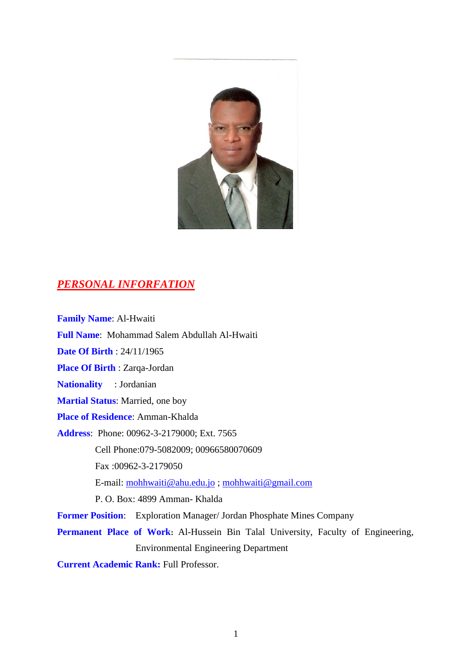

# *PERSONAL INFORFATION*

**Family Name**: Al-Hwaiti **Full Name**: Mohammad Salem Abdullah Al-Hwaiti **Date Of Birth** : 24/11/1965 **Place Of Birth** : Zarqa-Jordan **Nationality** : Jordanian **Martial Status**: Married, one boy **Place of Residence**: Amman-Khalda **Address**: Phone: 00962-3-2179000; Ext. 7565 Cell Phone:079-5082009; 00966580070609 Fax :00962-3-2179050 E-mail: [mohhwaiti@ahu.edu.jo](mailto:mohhwaiti@ahu.edu.jo) ; [mohhwaiti@gmail.com](mailto:mohhwaiti@gmail.com) P. O. Box: 4899 Amman- Khalda **Former Position**: Exploration Manager/ Jordan Phosphate Mines Company Permanent Place of Work: Al-Hussein Bin Talal University, Faculty of Engineering, Environmental Engineering Department

**Current Academic Rank:** Full Professor.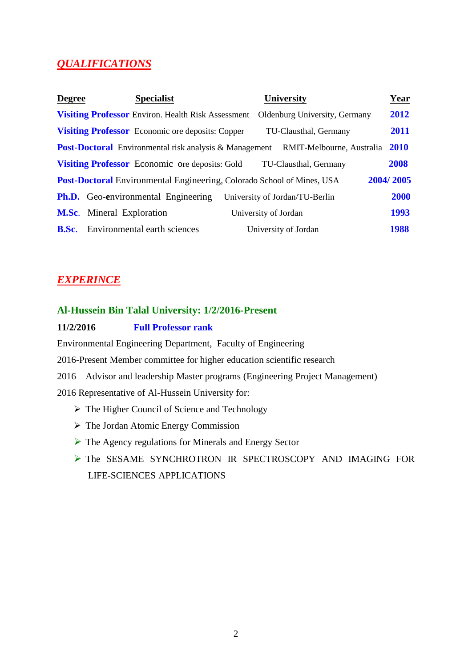# *QUALIFICATIONS*

| <b>Degree</b>                                                                              | <b>Specialist</b>                                             | University                     | <u>Year</u> |
|--------------------------------------------------------------------------------------------|---------------------------------------------------------------|--------------------------------|-------------|
|                                                                                            | <b>Visiting Professor</b> Environ. Health Risk Assessment     | Oldenburg University, Germany  | 2012        |
|                                                                                            | <b>Visiting Professor</b> Economic ore deposits: Copper       | TU-Clausthal, Germany          | 2011        |
|                                                                                            | <b>Post-Doctoral</b> Environmental risk analysis & Management | RMIT-Melbourne, Australia      | 2010        |
|                                                                                            | <b>Visiting Professor</b> Economic ore deposits: Gold         | TU-Clausthal, Germany          | 2008        |
| 2004/2005<br><b>Post-Doctoral</b> Environmental Engineering, Colorado School of Mines, USA |                                                               |                                |             |
|                                                                                            | <b>Ph.D.</b> Geo-environmental Engineering                    | University of Jordan/TU-Berlin | 2000        |
|                                                                                            | <b>M.Sc.</b> Mineral Exploration                              | University of Jordan           | 1993        |
| <b>B.Sc.</b>                                                                               | Environmental earth sciences                                  | University of Jordan           | 1988        |

# *EXPERINCE*

## **Al-Hussein Bin Talal University: 1/2/2016-Present**

## **11/2/2016 Full Professor rank**

Environmental Engineering Department, Faculty of Engineering

2016-Present Member committee for higher education scientific research

2016 Advisor and leadership Master programs (Engineering Project Management) 2016 Representative of Al-Hussein University for:

- $\triangleright$  The Higher Council of Science and Technology
- > The Jordan Atomic Energy Commission
- ▶ The Agency regulations for Minerals and Energy Sector
- The SESAME SYNCHROTRON IR SPECTROSCOPY AND IMAGING FOR LIFE-SCIENCES APPLICATIONS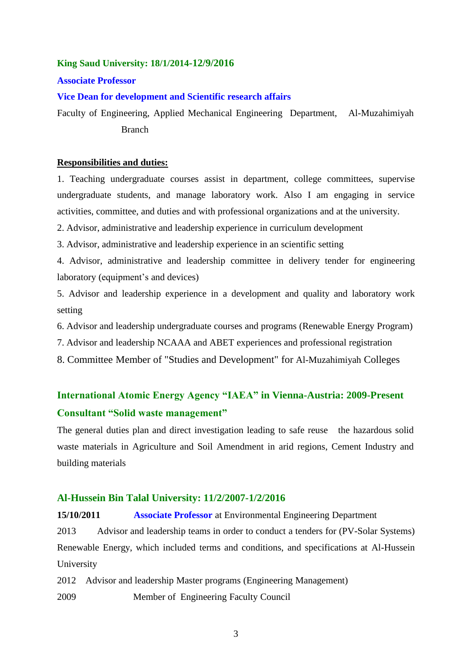### **King Saud University: 18/1/2014-12/9/2016**

**Associate Professor**

### **Vice Dean for development and Scientific research affairs**

Faculty of Engineering, Applied Mechanical Engineering Department, Al-Muzahimiyah Branch

### **Responsibilities and duties:**

1. Teaching undergraduate courses assist in department, college committees, supervise undergraduate students, and manage laboratory work. Also I am engaging in service activities, committee, and duties and with professional organizations and at the university.

2. Advisor, administrative and leadership experience in curriculum development

- 3. Advisor, administrative and leadership experience in an scientific setting
- 4. Advisor, administrative and leadership committee in delivery tender for engineering laboratory (equipment's and devices)

5. Advisor and leadership experience in a development and quality and laboratory work setting

- 6. Advisor and leadership undergraduate courses and programs (Renewable Energy Program)
- 7. Advisor and leadership NCAAA and ABET experiences and professional registration
- 8. Committee Member of "Studies and Development" for Al-Muzahimiyah Colleges

# **International Atomic Energy Agency "IAEA" in Vienna-Austria: 2009-Present Consultant "Solid waste management"**

The general duties plan and direct investigation leading to safe reuse the hazardous solid waste materials in Agriculture and Soil Amendment in arid regions, Cement Industry and building materials

### **Al-Hussein Bin Talal University: 11/2/2007-1/2/2016**

**15/10/2011 Associate Professor** at Environmental Engineering Department 2013 Advisor and leadership teams in order to conduct a tenders for (PV-Solar Systems) Renewable Energy, which included terms and conditions, and specifications at Al-Hussein University

2012 Advisor and leadership Master programs (Engineering Management) 2009 Member of Engineering Faculty Council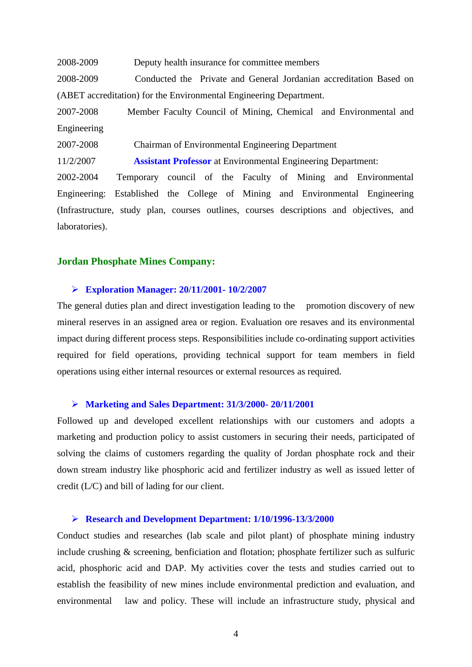2008-2009 Deputy health insurance for committee members

2008-2009 Conducted the Private and General Jordanian accreditation Based on (ABET accreditation) for the Environmental Engineering Department.

2007-2008 Member Faculty Council of Mining, Chemical and Environmental and Engineering

2007-2008Chairman of Environmental Engineering Department

11/2/2007 **Assistant Professor** at Environmental Engineering Department:

2002-2004 Temporary council of the Faculty of Mining and Environmental Engineering: Established the College of Mining and Environmental Engineering (Infrastructure, study plan, courses outlines, courses descriptions and objectives, and laboratories).

### **Jordan Phosphate Mines Company:**

#### **Exploration Manager: 20/11/2001- 10/2/2007**

The general duties plan and direct investigation leading to the promotion discovery of new mineral reserves in an assigned area or region. Evaluation ore resaves and its environmental impact during different process steps. Responsibilities include co-ordinating support activities required for field operations, providing technical support for team members in field operations using either internal resources or external resources as required.

### **Marketing and Sales Department: 31/3/2000- 20/11/2001**

Followed up and developed excellent relationships with our customers and adopts a marketing and production policy to assist customers in securing their needs, participated of solving the claims of customers regarding the quality of Jordan phosphate rock and their down stream industry like phosphoric acid and fertilizer industry as well as issued letter of credit (L/C) and bill of lading for our client.

### **Research and Development Department: 1/10/1996-13/3/2000**

Conduct studies and researches (lab scale and pilot plant) of phosphate mining industry include crushing & screening, benficiation and flotation; phosphate fertilizer such as sulfuric acid, phosphoric acid and DAP. My activities cover the tests and studies carried out to establish the feasibility of new mines include environmental prediction and evaluation, and environmental law and policy. These will include an infrastructure study, physical and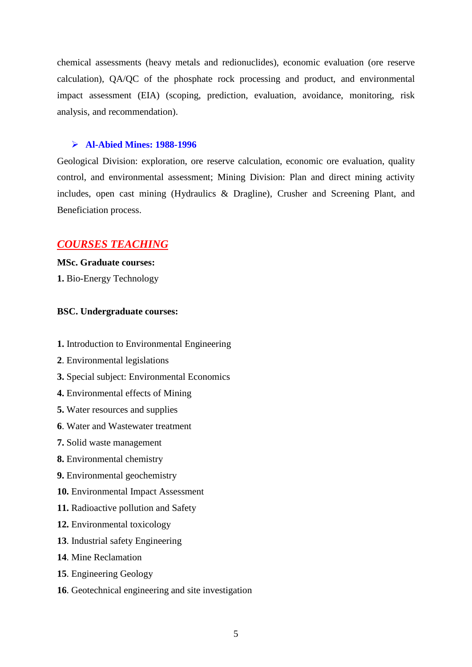chemical assessments (heavy metals and redionuclides), economic evaluation (ore reserve calculation), QA/QC of the phosphate rock processing and product, and environmental impact assessment (EIA) (scoping, prediction, evaluation, avoidance, monitoring, risk analysis, and recommendation).

#### **Al-Abied Mines: 1988-1996**

Geological Division: exploration, ore reserve calculation, economic ore evaluation, quality control, and environmental assessment; Mining Division: Plan and direct mining activity includes, open cast mining (Hydraulics & Dragline), Crusher and Screening Plant, and Beneficiation process.

### *COURSES TEACHING*

**MSc. Graduate courses: 1.** Bio-Energy Technology

#### **BSC. Undergraduate courses:**

- **1.** Introduction to Environmental Engineering
- **2**. Environmental legislations
- **3.** Special subject: Environmental Economics
- **4.** Environmental effects of Mining
- **5.** Water resources and supplies
- **6**. Water and Wastewater treatment
- **7.** Solid waste management
- **8.** Environmental chemistry
- **9.** Environmental geochemistry
- **10.** Environmental Impact Assessment
- **11.** Radioactive pollution and Safety
- **12.** Environmental toxicology
- **13**. Industrial safety Engineering
- **14**. Mine Reclamation
- **15**. Engineering Geology
- **16**. Geotechnical engineering and site investigation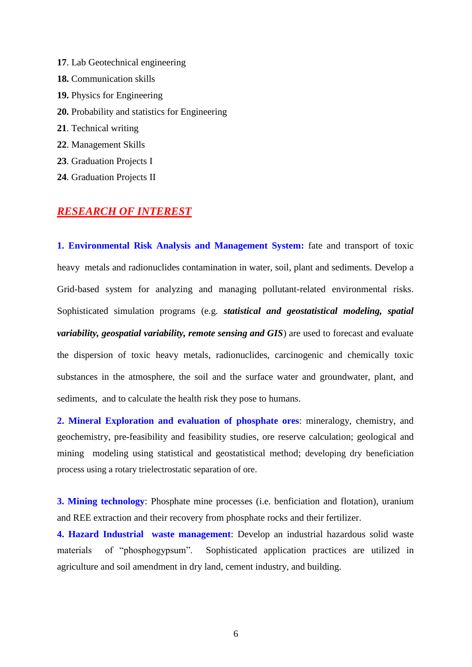- **17**. Lab Geotechnical engineering
- **18.** Communication skills
- **19.** Physics for Engineering
- **20.** Probability and statistics for Engineering
- **21**. Technical writing
- **22**. Management Skills
- **23**. Graduation Projects I
- **24**. Graduation Projects II

# *RESEARCH OF INTEREST*

**1. Environmental Risk Analysis and Management System:** fate and transport of toxic heavy metals and radionuclides contamination in water, soil, plant and sediments. Develop a Grid-based system for analyzing and managing pollutant-related environmental risks. Sophisticated simulation programs (e.g. *statistical and geostatistical modeling, spatial variability, geospatial variability, remote sensing and GIS*) are used to forecast and evaluate the dispersion of toxic heavy metals, radionuclides, carcinogenic and chemically toxic substances in the atmosphere, the soil and the surface water and groundwater, plant, and sediments, and to calculate the health risk they pose to humans.

**2. Mineral Exploration and evaluation of phosphate ores**: mineralogy, chemistry, and geochemistry, pre-feasibility and feasibility studies, ore reserve calculation; geological and mining modeling using statistical and geostatistical method; developing dry beneficiation process using a rotary trielectrostatic separation of ore.

**3. Mining technology**: Phosphate mine processes (i.e. benficiation and flotation), uranium and REE extraction and their recovery from phosphate rocks and their fertilizer.

**4. Hazard Industrial waste management**: Develop an industrial hazardous solid waste materials of "phosphogypsum". Sophisticated application practices are utilized in agriculture and soil amendment in dry land, cement industry, and building.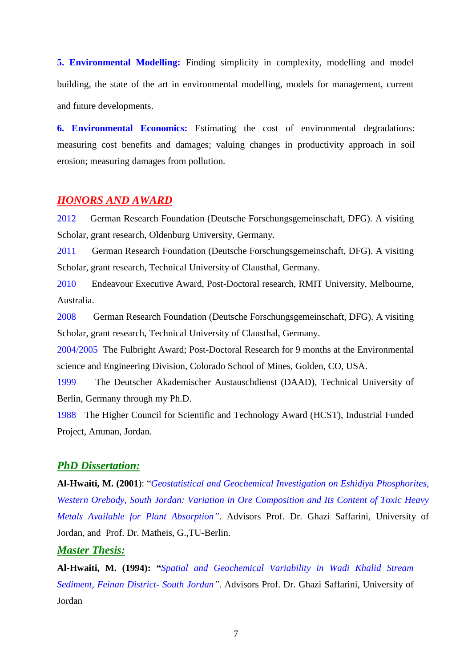**5. Environmental Modelling:** Finding simplicity in complexity, modelling and model building, the state of the art in environmental modelling, models for management, current and future developments.

**6. Environmental Economics:** Estimating the cost of environmental degradations: measuring cost benefits and damages; valuing changes in productivity approach in soil erosion; measuring damages from pollution.

### *HONORS AND AWARD*

2012 German Research Foundation (Deutsche Forschungsgemeinschaft, DFG). A visiting Scholar, grant research, Oldenburg University, Germany.

2011 German Research Foundation (Deutsche Forschungsgemeinschaft, DFG). A visiting Scholar, grant research, Technical University of Clausthal, Germany.

2010 Endeavour Executive Award, Post-Doctoral research, RMIT University, Melbourne, Australia.

2008 German Research Foundation (Deutsche Forschungsgemeinschaft, DFG). A visiting Scholar, grant research, Technical University of Clausthal, Germany.

2004/2005 The Fulbright Award; Post-Doctoral Research for 9 months at the Environmental science and Engineering Division, Colorado School of Mines, Golden, CO, USA.

1999 The Deutscher Akademischer Austauschdienst (DAAD)*,* Technical University of Berlin, Germany through my Ph.D.

1988 The Higher Council for Scientific and Technology Award (HCST), Industrial Funded Project, Amman, Jordan.

### *PhD Dissertation:*

**Al-Hwaiti, M. (2001**): "*Geostatistical and Geochemical Investigation on Eshidiya Phosphorites, Western Orebody, South Jordan: Variation in Ore Composition and Its Content of Toxic Heavy Metals Available for Plant Absorption"*. Advisors Prof. Dr. Ghazi Saffarini, University of Jordan, and Prof. Dr. Matheis, G.,TU-Berlin.

## *Master Thesis:*

**Al-Hwaiti, M. (1994): "***Spatial and Geochemical Variability in Wadi Khalid Stream Sediment, Feinan District- South Jordan"*. Advisors Prof. Dr. Ghazi Saffarini, University of Jordan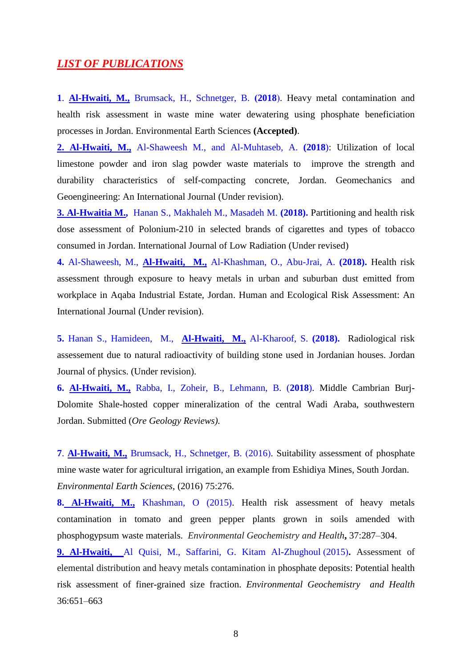## *LIST OF PUBLICATIONS*

**1. Al-Hwaiti, M., Brumsack, H., Schnetger, B. (2018). Heavy metal contamination and** health risk assessment in waste mine water dewatering using phosphate beneficiation processes in Jordan. Environmental Earth Sciences **(Accepted)**.

**2. Al-Hwaiti, M.,** Al-Shaweesh M., and Al-Muhtaseb, A. **(2018**): Utilization of local limestone powder and iron slag powder waste materials to improve the strength and durability characteristics of self-compacting concrete, Jordan. Geomechanics and Geoengineering: An International Journal (Under revision).

**3. Al-Hwaitia M.,** Hanan S., Makhaleh M., Masadeh M. **(2018).** Partitioning and health risk dose assessment of Polonium-210 in selected brands of cigarettes and types of tobacco consumed in Jordan. International Journal of Low Radiation (Under revised)

**4.** Al-Shaweesh, M., **Al-Hwaiti, M.,** Al-Khashman, O., Abu-Jrai, A. **(2018).** Health risk assessment through exposure to heavy metals in urban and suburban dust emitted from workplace in Aqaba Industrial Estate, Jordan. Human and Ecological Risk Assessment: An International Journal (Under revision).

**5.** Hanan S., Hamideen, M., **Al-Hwaiti, M.,** Al-Kharoof, S. **(2018).** Radiological risk assessement due to natural radioactivity of building stone used in Jordanian houses. Jordan Journal of physics. (Under revision).

**6. Al-Hwaiti, M.,** Rabba, I., Zoheir, B., Lehmann, B. (**2018**). Middle Cambrian Burj-Dolomite Shale-hosted copper mineralization of the central Wadi Araba, southwestern Jordan. Submitted (*Ore Geology Reviews).* 

**7. Al-Hwaiti, M., Brumsack, H., Schnetger, B. (2016). Suitability assessment of phosphate** mine waste water for agricultural irrigation, an example from Eshidiya Mines, South Jordan. *Environmental Earth Sciences*, (2016) 75:276.

**8. Al-Hwaiti, M.,** Khashman, O (2015). Health risk assessment of heavy metals contamination in tomato and green pepper plants grown in soils amended with phosphogypsum waste materials. *Environmental Geochemistry and Health***,** 37:287–304.

**9. Al-Hwaiti,** Al Quisi, M., Saffarini, G. Kitam Al-Zhughoul (2015). Assessment of elemental distribution and heavy metals contamination in phosphate deposits: Potential health risk assessment of finer-grained size fraction. *Environmental Geochemistry and Health* 36:651–663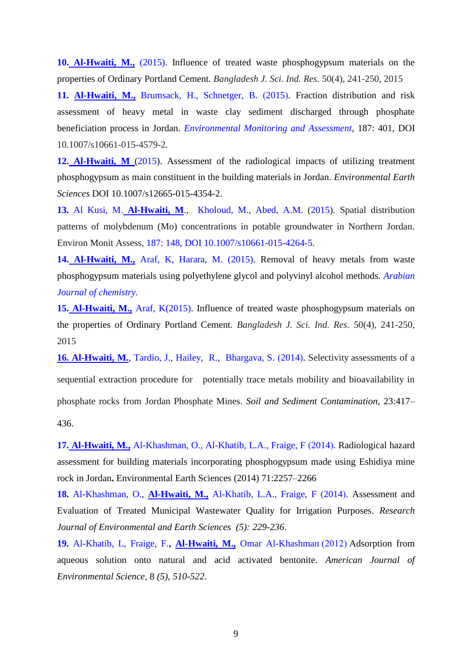**10. Al-Hwaiti, M.,** (2015). Influence of treated waste phosphogypsum materials on the properties of Ordinary Portland Cement. *Bangladesh J. Sci. Ind. Res.* 50(4), 241-250, 2015

**11. Al-Hwaiti, M., Brumsack, H., Schnetger, B. (2015). Fraction distribution and risk** assessment of heavy metal in waste clay sediment discharged through phosphate beneficiation process in Jordan. *Environmental Monitoring and Assessment*, 187: 401, DOI 10.1007/s10661-015-4579-2*.*

**12. Al-Hwaiti, M** (2015). Assessment of the radiological impacts of utilizing treatment phosphogypsum as main constituent in the building materials in Jordan. *Environmental Earth Sciences* DOI 10.1007/s12665-015-4354-2.

**13.** Al Kusi, M. **Al-Hwaiti, M**., Kholoud, M., Abed, A.M. (2015). Spatial distribution patterns of molybdenum (Mo) concentrations in potable groundwater in Northern Jordan*.* Environ Monit Assess, 187: 148, DOI 10.1007/s10661-015-4264-5.

**14. Al-Hwaiti, M.,** Araf, K, Harara, M. (2015). Removal of heavy metals from waste phosphogypsum materials using polyethylene glycol and polyvinyl alcohol methods. *Arabian Journal of chemistry.*

**15. Al-Hwaiti, M.,** Araf, K(2015). Influence of treated waste phosphogypsum materials on the properties of Ordinary Portland Cement. *Bangladesh J. Sci. Ind. Res.* 50(4), 241-250, 2015

**16. Al-Hwaiti, M.**, Tardio, J., Hailey, R., Bhargava, S. (2014). Selectivity assessments of a sequential extraction procedure for potentially trace metals mobility and bioavailability in phosphate rocks from Jordan Phosphate Mines. *Soil and Sediment Contamination*, 23:417– 436.

17. Al-Hwaiti, M., Al-Khashman, O., Al-Khatib, L.A., Fraige, F (2014). Radiological hazard assessment for building materials incorporating phosphogypsum made using Eshidiya mine rock in Jordan**.** Environmental Earth Sciences (2014) 71:2257–2266

18. Al-Khashman, O., Al-Hwaiti, M., Al-Khatib, L.A., Fraige, F (2014). Assessment and Evaluation of Treated Municipal Wastewater Quality for Irrigation Purposes. *Research Journal of Environmental and Earth Sciences (5): 229-236*.

19. Al-Khatib, L, Fraige, F., Al-Hwaiti, M., Omar Al-Khashman (2012) Adsorption from aqueous solution onto natural and acid activated bentonite. *American Journal of Environmental Science*, 8 *(5), 510-522*.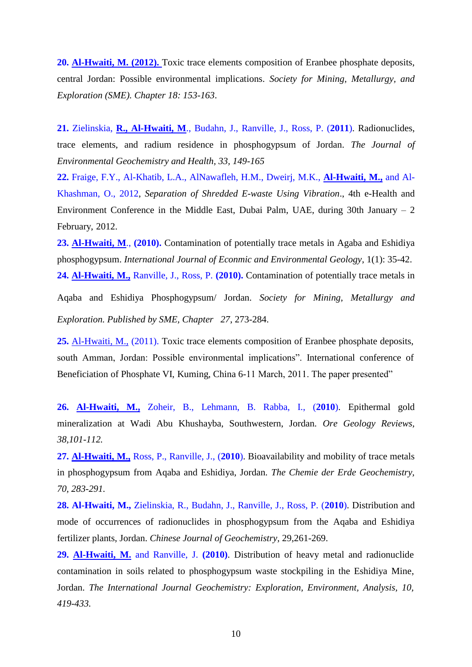**20. Al-Hwaiti, M. (2012).** Toxic trace elements composition of Eranbee phosphate deposits, central Jordan: Possible environmental implications. *Society for Mining, Metallurgy, and Exploration (SME). Chapter 18: 153-163*.

**21.** Zielinskia, **R., Al-Hwaiti, M**., Budahn, J., Ranville, J., Ross, P. (**2011**). Radionuclides, trace elements, and radium residence in phosphogypsum of Jordan. *The Journal of Environmental Geochemistry and Health, 33, 149-165*

**22.** Fraige, F.Y., Al-Khatib, L.A., AlNawafleh, H.M., Dweirj, M.K., **Al-Hwaiti, M.,** and Al-Khashman, O., 2012, *Separation of Shredded E-waste Using Vibration*., 4th e-Health and Environment Conference in the Middle East, Dubai Palm, UAE, during 30th January  $-2$ February, 2012.

**23. Al-Hwaiti, M**., **(2010).** Contamination of potentially trace metals in Agaba and Eshidiya phosphogypsum. *International Journal of Econmic and Environmental Geology*, 1(1): 35-42. **24. Al-Hwaiti, M.,** Ranville, J., Ross, P. **(2010).** Contamination of potentially trace metals in

Aqaba and Eshidiya Phosphogypsum/ Jordan. *Society for Mining, Metallurgy and Exploration. Published by SME, Chapter 27*, 273-284.

**25.** Al-Hwaiti, M., (2011). Toxic trace elements composition of Eranbee phosphate deposits, south Amman, Jordan: Possible environmental implications". International conference of Beneficiation of Phosphate VI, Kuming, China 6-11 March, 2011. The paper presented"

**26. Al-Hwaiti, M.,** Zoheir, B., Lehmann, B. Rabba, I., (**2010**). Epithermal gold mineralization at Wadi Abu Khushayba, Southwestern, Jordan. *Ore Geology Reviews, 38,101-112.* 

**27. Al-Hwaiti, M.,** Ross, P., Ranville, J., (**2010**). Bioavailability and mobility of trace metals in phosphogypsum from Aqaba and Eshidiya, Jordan. *The Chemie der Erde Geochemistry, 70, 283-291.*

**28. Al-Hwaiti, M.,** Zielinskia, R., Budahn, J., Ranville, J., Ross, P. (**2010**). Distribution and mode of occurrences of radionuclides in phosphogypsum from the Aqaba and Eshidiya fertilizer plants, Jordan. *Chinese Journal of Geochemistry,* 29,261-269.

**29. Al-Hwaiti, M.** and Ranville, J. **(2010)**. Distribution of heavy metal and radionuclide contamination in soils related to phosphogypsum waste stockpiling in the Eshidiya Mine, Jordan. *The International Journal Geochemistry: Exploration, Environment, Analysis, 10, 419-433.*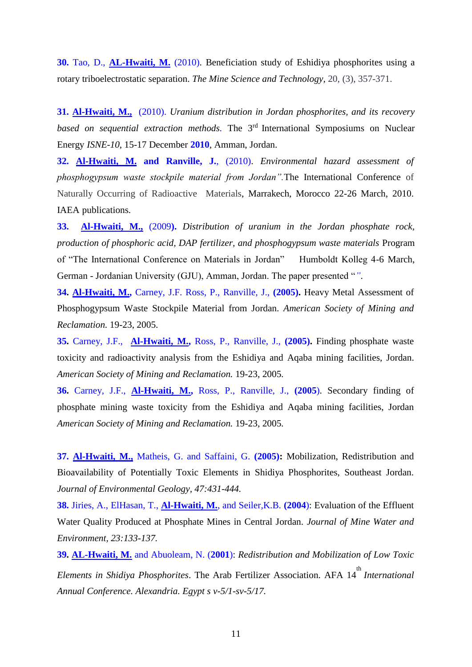**30.** Tao, D., **AL-Hwaiti, M.** (2010). Beneficiation study of Eshidiya phosphorites using a rotary triboelectrostatic separation. *The Mine Science and Technology,* 20, (3), 357-371.

**31. Al-Hwaiti, M.,** (2010). *Uranium distribution in Jordan phosphorites, and its recovery based on sequential extraction methods.* The 3rd International Symposiums on Nuclear Energy *ISNE-10*, 15-17 December **2010**, Amman, Jordan.

**32. Al-Hwaiti, M. and Ranville, J.**, (2010). *Environmental hazard assessment of phosphogypsum waste stockpile material from Jordan".*The International Conference of Naturally Occurring of Radioactive Materials, Marrakech, Morocco 22-26 March, 2010. IAEA publications*.*

**33. Al-Hwaiti, M.,** (2009**).** *Distribution of uranium in the Jordan phosphate rock, production of phosphoric acid, DAP fertilizer, and phosphogypsum waste materials* Program of "The International Conference on Materials in Jordan" Humboldt Kolleg 4-6 March, German - Jordanian University (GJU), Amman, Jordan. The paper presented "*"*.

**34. Al-Hwaiti, M.,** Carney, J.F. Ross, P., Ranville, J., **(2005).** Heavy Metal Assessment of Phosphogypsum Waste Stockpile Material from Jordan. *American Society of Mining and Reclamation.* 19-23, 2005*.* 

**35.** Carney, J.F., **Al-Hwaiti, M.,** Ross, P., Ranville, J., **(2005).** Finding phosphate waste toxicity and radioactivity analysis from the Eshidiya and Aqaba mining facilities, Jordan. *American Society of Mining and Reclamation.* 19-23, 2005*.* 

**36.** Carney, J.F., **Al-Hwaiti, M.,** Ross, P., Ranville, J., **(2005**). Secondary finding of phosphate mining waste toxicity from the Eshidiya and Aqaba mining facilities, Jordan *American Society of Mining and Reclamation.* 19-23, 2005*.* 

**37. Al-Hwaiti, M.,** Matheis, G. and Saffaini, G. **(2005):** Mobilization, Redistribution and Bioavailability of Potentially Toxic Elements in Shidiya Phosphorites, Southeast Jordan. *Journal of Environmental Geology, 47:431-444.* 

**38.** Jiries, A., ElHasan, T., **Al-Hwaiti, M.**, and Seiler,K.B. **(2004**): Evaluation of the Effluent Water Quality Produced at Phosphate Mines in Central Jordan. *Journal of Mine Water and Environment, 23:133-137.*

**39. AL-Hwaiti, M.** and Abuoleam, N. (**2001**): *Redistribution and Mobilization of Low Toxic Elements in Shidiya Phosphorites.* The Arab Fertilizer Association. AFA 14<sup>th</sup> *International Annual Conference. Alexandria. Egypt s v-5/1-sv-5/17.*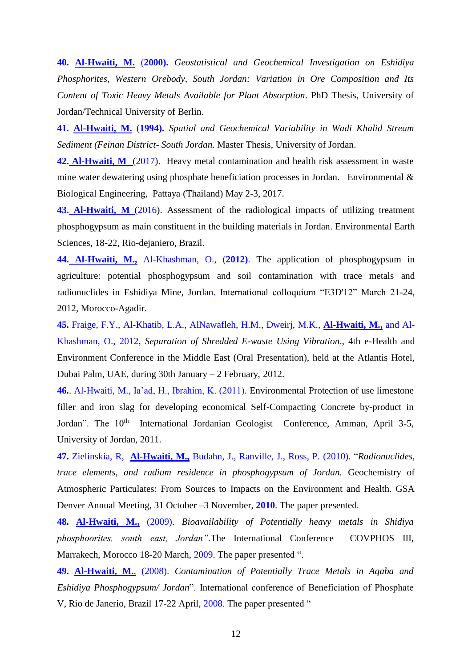**40. Al-Hwaiti, M.** (**2000).** *Geostatistical and Geochemical Investigation on Eshidiya Phosphorites, Western Orebody, South Jordan: Variation in Ore Composition and Its Content of Toxic Heavy Metals Available for Plant Absorption*. PhD Thesis, University of Jordan/Technical University of Berlin.

**41. Al-Hwaiti, M.** (**1994).** *Spatial and Geochemical Variability in Wadi Khalid Stream Sediment (Feinan District- South Jordan.* Master Thesis, University of Jordan.

**42. Al-Hwaiti, M** (2017). Heavy metal contamination and health risk assessment in waste mine water dewatering using phosphate beneficiation processes in Jordan. Environmental & Biological Engineering, Pattaya (Thailand) May 2-3, 2017.

**43. Al-Hwaiti, M** (2016). Assessment of the radiological impacts of utilizing treatment phosphogypsum as main constituent in the building materials in Jordan. Environmental Earth Sciences, 18-22, Rio-dejaniero, Brazil.

**44. Al-Hwaiti, M.,** Al-Khashman, O., (**2012)**. The application of phosphogypsum in agriculture: potential phosphogypsum and soil contamination with trace metals and radionuclides in Eshidiya Mine, Jordan. International colloquium "E3D'12" March 21-24, 2012, Morocco-Agadir.

**45.** Fraige, F.Y., Al-Khatib, L.A., AlNawafleh, H.M., Dweirj, M.K., **Al-Hwaiti, M.,** and Al-Khashman, O., 2012, *Separation of Shredded E-waste Using Vibration*., 4th e-Health and Environment Conference in the Middle East (Oral Presentation), held at the Atlantis Hotel, Dubai Palm, UAE, during 30th January – 2 February, 2012.

**46.**. Al-Hwaiti, M., Ia'ad, H., Ibrahim, K. (2011). Environmental Protection of use limestone filler and iron slag for developing economical Self-Compacting Concrete by-product in Jordan". The 10<sup>th</sup> International Jordanian Geologist Conference, Amman, April 3-5, University of Jordan, 2011.

**47.** Zielinskia, R, **Al-Hwaiti, M.,** Budahn, J., Ranville, J., Ross, P. (2010). "*Radionuclides, trace elements, and radium residence in phosphogypsum of Jordan.* Geochemistry of Atmospheric Particulates: From Sources to Impacts on the Environment and Health. GSA Denver Annual Meeting, 31 October –3 November, **2010**. The paper presented*.*

**48. Al-Hwaiti, M.,** (2009). *Bioavailability of Potentially heavy metals in Shidiya phosphoorites, south east, Jordan".*The International Conference COVPHOS III, Marrakech, Morocco 18-20 March, 2009. The paper presented ".

**49. Al-Hwaiti, M.**, (2008). *Contamination of Potentially Trace Metals in Aqaba and Eshidiya Phosphogypsum/ Jordan*". International conference of Beneficiation of Phosphate V, Rio de Janerio, Brazil 17-22 April, 2008. The paper presented "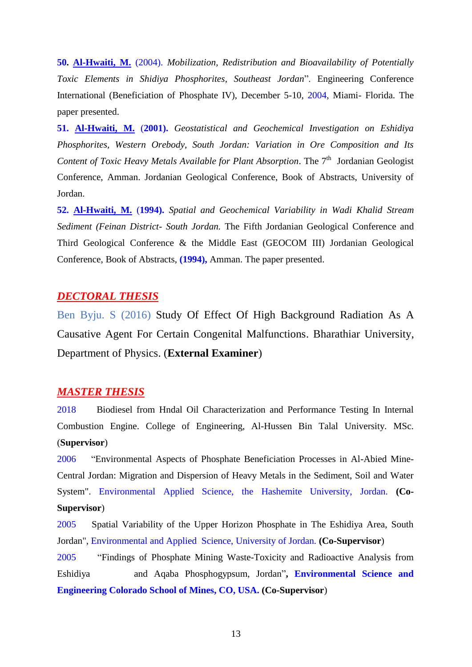**50. Al-Hwaiti, M.** (2004). *Mobilization, Redistribution and Bioavailability of Potentially Toxic Elements in Shidiya Phosphorites, Southeast Jordan*". Engineering Conference International (Beneficiation of Phosphate IV), December 5-10, 2004, Miami- Florida. The paper presented.

**51. Al-Hwaiti, M.** (**2001).** *Geostatistical and Geochemical Investigation on Eshidiya Phosphorites, Western Orebody, South Jordan: Variation in Ore Composition and Its*  Content of Toxic Heavy Metals Available for Plant Absorption. The 7<sup>th</sup> Jordanian Geologist Conference, Amman. Jordanian Geological Conference, Book of Abstracts, University of Jordan.

**52. Al-Hwaiti, M.** (**1994).** *Spatial and Geochemical Variability in Wadi Khalid Stream Sediment (Feinan District- South Jordan.* The Fifth Jordanian Geological Conference and Third Geological Conference & the Middle East (GEOCOM III) Jordanian Geological Conference, Book of Abstracts, **(1994),** Amman. The paper presented.

# *DECTORAL THESIS*

Ben Byju. S (2016) Study Of Effect Of High Background Radiation As A Causative Agent For Certain Congenital Malfunctions. Bharathiar University, Department of Physics. (**External Examiner**)

## *MASTER THESIS*

2018 Biodiesel from Hndal Oil Characterization and Performance Testing In Internal Combustion Engine. College of Engineering, Al-Hussen Bin Talal University. MSc. (**Supervisor**)

2006 "Environmental Aspects of Phosphate Beneficiation Processes in Al-Abied Mine-Central Jordan: Migration and Dispersion of Heavy Metals in the Sediment, Soil and Water System". Environmental Applied Science, the Hashemite University, Jordan. **(Co-Supervisor**)

2005 Spatial Variability of the Upper Horizon Phosphate in The Eshidiya Area, South Jordan", Environmental and Applied Science, University of Jordan. **(Co-Supervisor**)

2005 "Findings of Phosphate Mining Waste-Toxicity and Radioactive Analysis from Eshidiya and Aqaba Phosphogypsum, Jordan"**, Environmental Science and Engineering Colorado School of Mines, CO, USA. (Co-Supervisor**)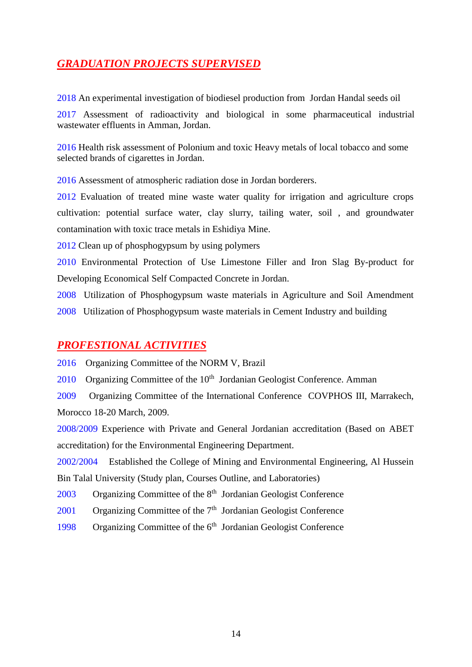# *GRADUATION PROJECTS SUPERVISED*

2018 An experimental investigation of biodiesel production from Jordan Handal seeds oil

2017 Assessment of radioactivity and biological in some pharmaceutical industrial wastewater effluents in Amman, Jordan.

2016 Health risk assessment of Polonium and toxic Heavy metals of local tobacco and some selected brands of cigarettes in Jordan.

2016 Assessment of atmospheric radiation dose in Jordan borderers.

2012 Evaluation of treated mine waste water quality for irrigation and agriculture crops cultivation: potential surface water, clay slurry, tailing water, soil , and groundwater contamination with toxic trace metals in Eshidiya Mine.

2012 Clean up of phosphogypsum by using polymers

2010 Environmental Protection of Use Limestone Filler and Iron Slag By-product for Developing Economical Self Compacted Concrete in Jordan.

2008 Utilization of Phosphogypsum waste materials in Agriculture and Soil Amendment 2008 Utilization of Phosphogypsum waste materials in Cement Industry and building

# *PROFESTIONAL ACTIVITIES*

2016 Organizing Committee of the NORM V, Brazil

2010 Organizing Committee of the 10<sup>th</sup> Jordanian Geologist Conference. Amman

2009 Organizing Committee of the International Conference COVPHOS III, Marrakech, Morocco 18-20 March, 2009.

2008/2009 Experience with Private and General Jordanian accreditation (Based on ABET accreditation) for the Environmental Engineering Department.

2002/2004 Established the College of Mining and Environmental Engineering, Al Hussein Bin Talal University (Study plan, Courses Outline, and Laboratories)

2003 Organizing Committee of the 8<sup>th</sup> Jordanian Geologist Conference

2001 Organizing Committee of the 7<sup>th</sup> Jordanian Geologist Conference

1998 Organizing Committee of the 6<sup>th</sup> Jordanian Geologist Conference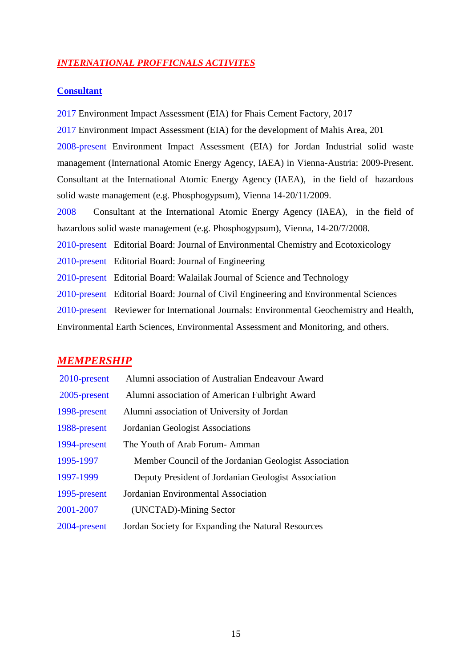### *INTERNATIONAL PROFFICNALS ACTIVITES*

### **Consultant**

2017 Environment Impact Assessment (EIA) for Fhais Cement Factory, 2017 2017 Environment Impact Assessment (EIA) for the development of Mahis Area, 201 2008-present Environment Impact Assessment (EIA) for Jordan Industrial solid waste management (International Atomic Energy Agency, IAEA) in Vienna-Austria: 2009-Present. Consultant at the International Atomic Energy Agency (IAEA), in the field of hazardous solid waste management (e.g. Phosphogypsum), Vienna 14-20/11/2009. 2008 Consultant at the International Atomic Energy Agency (IAEA), in the field of hazardous solid waste management (e.g. Phosphogypsum), Vienna, 14-20/7/2008. 2010-present Editorial Board: Journal of Environmental Chemistry and Ecotoxicology 2010-present Editorial Board: Journal of Engineering 2010-present Editorial Board: Walailak Journal of Science and Technology 2010-present Editorial Board: [Journal of Civil Engineering and Environmental Sciences](https://exch-cas.ahu.edu.jo/owa/redir.aspx?C=H8m_cKMnpEq5PDYi1PHWJ25yO8PqKdIINxmJJQTaGye2YiSmIkiRdk0csShfopiWnH-RLw4jz5k.&URL=http%3a%2f%2fwww.peertechz.com%2fCivil-Engineering-Environmental-Sciences%2f) 2010-present Reviewer for International Journals: Environmental Geochemistry and Health, Environmental Earth Sciences, Environmental Assessment and Monitoring, and others.

## *MEMPERSHIP*

| 2010-present | Alumni association of Australian Endeavour Award      |
|--------------|-------------------------------------------------------|
| 2005-present | Alumni association of American Fulbright Award        |
| 1998-present | Alumni association of University of Jordan            |
| 1988-present | <b>Jordanian Geologist Associations</b>               |
| 1994-present | The Youth of Arab Forum-Amman                         |
| 1995-1997    | Member Council of the Jordanian Geologist Association |
| 1997-1999    | Deputy President of Jordanian Geologist Association   |
| 1995-present | Jordanian Environmental Association                   |
| 2001-2007    | (UNCTAD)-Mining Sector                                |
| 2004-present | Jordan Society for Expanding the Natural Resources    |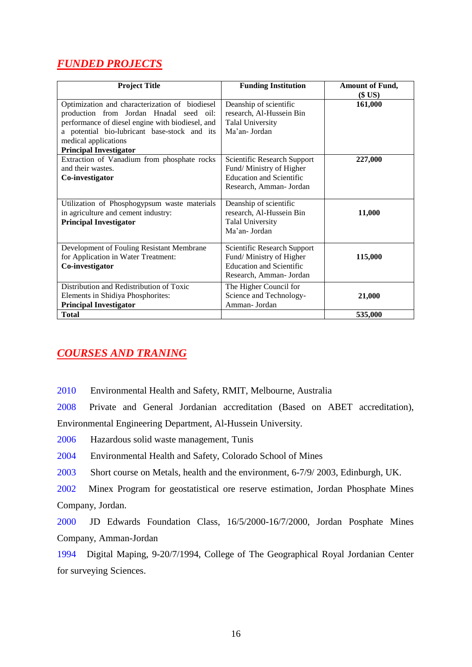# *FUNDED PROJECTS*

| <b>Project Title</b>                             | <b>Funding Institution</b>      | <b>Amount of Fund,</b> |
|--------------------------------------------------|---------------------------------|------------------------|
|                                                  |                                 | (\$ US)                |
| Optimization and characterization of biodiesel   | Deanship of scientific          | 161,000                |
| production from Jordan Hnadal seed oil:          | research, Al-Hussein Bin        |                        |
| performance of diesel engine with biodiesel, and | <b>Talal University</b>         |                        |
| a potential bio-lubricant base-stock and its     | Ma'an- Jordan                   |                        |
| medical applications                             |                                 |                        |
| <b>Principal Investigator</b>                    |                                 |                        |
| Extraction of Vanadium from phosphate rocks      | Scientific Research Support     | 227,000                |
| and their wastes.                                | Fund/Ministry of Higher         |                        |
| Co-investigator                                  | <b>Education and Scientific</b> |                        |
|                                                  | Research, Amman- Jordan         |                        |
|                                                  |                                 |                        |
| Utilization of Phosphogypsum waste materials     | Deanship of scientific          |                        |
| in agriculture and cement industry:              | research, Al-Hussein Bin        | 11,000                 |
| <b>Principal Investigator</b>                    | <b>Talal University</b>         |                        |
|                                                  | Ma'an-Jordan                    |                        |
|                                                  |                                 |                        |
| Development of Fouling Resistant Membrane        | Scientific Research Support     |                        |
| for Application in Water Treatment:              | Fund/Ministry of Higher         | 115,000                |
| Co-investigator                                  | <b>Education and Scientific</b> |                        |
|                                                  | Research, Amman- Jordan         |                        |
| Distribution and Redistribution of Toxic         | The Higher Council for          |                        |
| Elements in Shidiya Phosphorites:                | Science and Technology-         | 21,000                 |
| <b>Principal Investigator</b>                    | Amman- Jordan                   |                        |
| <b>Total</b>                                     |                                 | 535,000                |

# *COURSES AND TRANING*

2010 Environmental Health and Safety, RMIT, Melbourne, Australia

2008 Private and General Jordanian accreditation (Based on ABET accreditation), Environmental Engineering Department, Al-Hussein University.

2006 Hazardous solid waste management, Tunis

2004 Environmental Health and Safety, Colorado School of Mines

2003 Short course on Metals, health and the environment, 6-7/9/ 2003, Edinburgh, UK.

2002 Minex Program for geostatistical ore reserve estimation, Jordan Phosphate Mines Company, Jordan.

2000 JD Edwards Foundation Class, 16/5/2000-16/7/2000, Jordan Posphate Mines Company, Amman-Jordan

1994 Digital Maping, 9-20/7/1994, College of The Geographical Royal Jordanian Center for surveying Sciences.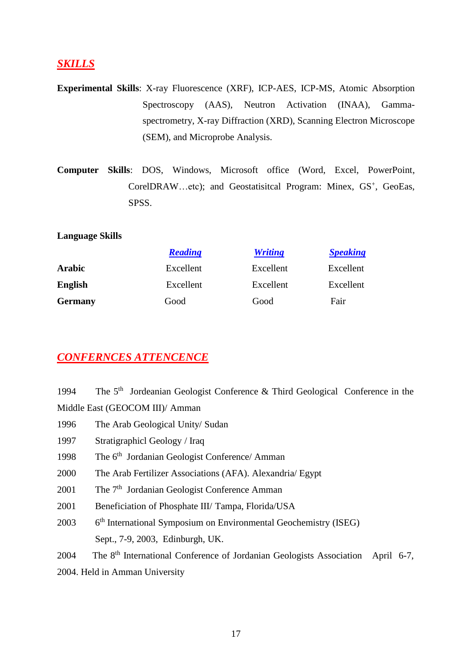# *SKILLS*

- **Experimental Skills**: X-ray Fluorescence (XRF), ICP-AES, ICP-MS, Atomic Absorption Spectroscopy (AAS), Neutron Activation (INAA), Gammaspectrometry, X-ray Diffraction (XRD), Scanning Electron Microscope (SEM), and Microprobe Analysis.
- **Computer Skills**: DOS, Windows, Microsoft office (Word, Excel, PowerPoint, CorelDRAW...etc); and Geostatisitcal Program: Minex, GS<sup>+</sup>, GeoEas, SPSS.

### **Language Skills**

|                | <b>Reading</b> | <b>Writing</b> | <b>Speaking</b> |
|----------------|----------------|----------------|-----------------|
| <b>Arabic</b>  | Excellent      | Excellent      | Excellent       |
| <b>English</b> | Excellent      | Excellent      | Excellent       |
| <b>Germany</b> | Good           | Good           | Fair            |

# *CONFERNCES ATTENCENCE*

| 1994 | The $5th$ Jordeanian Geologist Conference & Third Geological Conference in the              |  |  |
|------|---------------------------------------------------------------------------------------------|--|--|
|      | Middle East (GEOCOM III)/ Amman                                                             |  |  |
| 1996 | The Arab Geological Unity/Sudan                                                             |  |  |
| 1997 | Stratigraphicl Geology / Iraq                                                               |  |  |
| 1998 | The 6 <sup>th</sup> Jordanian Geologist Conference/ Amman                                   |  |  |
| 2000 | The Arab Fertilizer Associations (AFA). Alexandria/ Egypt                                   |  |  |
| 2001 | The 7 <sup>th</sup> Jordanian Geologist Conference Amman                                    |  |  |
| 2001 | Beneficiation of Phosphate III/ Tampa, Florida/USA                                          |  |  |
| 2003 | 6 <sup>th</sup> International Symposium on Environmental Geochemistry (ISEG)                |  |  |
|      | Sept., 7-9, 2003, Edinburgh, UK.                                                            |  |  |
| 2004 | The 8 <sup>th</sup> International Conference of Jordanian Geologists Association April 6-7, |  |  |
|      | 2004. Held in Amman University                                                              |  |  |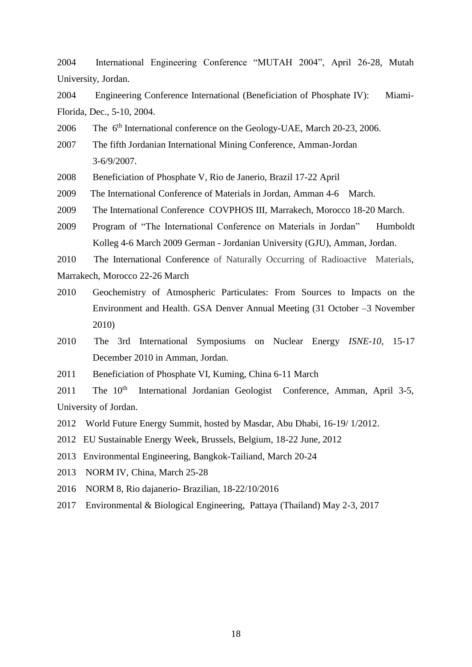2004 International Engineering Conference "MUTAH 2004", April 26-28, Mutah University, Jordan.

2004 Engineering Conference International (Beneficiation of Phosphate IV): Miami-Florida, Dec., 5-10, 2004.

2006 The 6th International conference on the Geology-UAE, March 20-23, 2006.

2007 The fifth Jordanian International Mining Conference, Amman-Jordan 3-6/9/2007.

2008 Beneficiation of Phosphate V, Rio de Janerio, Brazil 17-22 April

2009 The International Conference of Materials in Jordan, Amman 4-6 March.

2009 The International Conference COVPHOS III, Marrakech, Morocco 18-20 March.

2009 Program of "The International Conference on Materials in Jordan" Humboldt Kolleg 4-6 March 2009 German - Jordanian University (GJU), Amman, Jordan.

2010 The International Conference of Naturally Occurring of Radioactive Materials, Marrakech, Morocco 22-26 March

- 2010 Geochemistry of Atmospheric Particulates: From Sources to Impacts on the Environment and Health. GSA Denver Annual Meeting (31 October –3 November 2010)
- 2010 The 3rd International Symposiums on Nuclear Energy *ISNE-10*, 15-17 December 2010 in Amman, Jordan.
- 2011 Beneficiation of Phosphate VI, Kuming, China 6-11 March

2011 The  $10<sup>th</sup>$  International Jordanian Geologist Conference, Amman, April 3-5, University of Jordan.

2012 World Future Energy Summit, hosted by Masdar, Abu Dhabi, 16-19/ 1/2012.

2012 EU Sustainable Energy Week, Brussels, Belgium, 18-22 June, 2012

2013 Environmental Engineering, Bangkok-Tailiand, March 20-24

2013 NORM IV, China, March 25-28

2016 NORM 8, Rio dajanerio- Brazilian, 18-22/10/2016

2017 Environmental & Biological Engineering, Pattaya (Thailand) May 2-3, 2017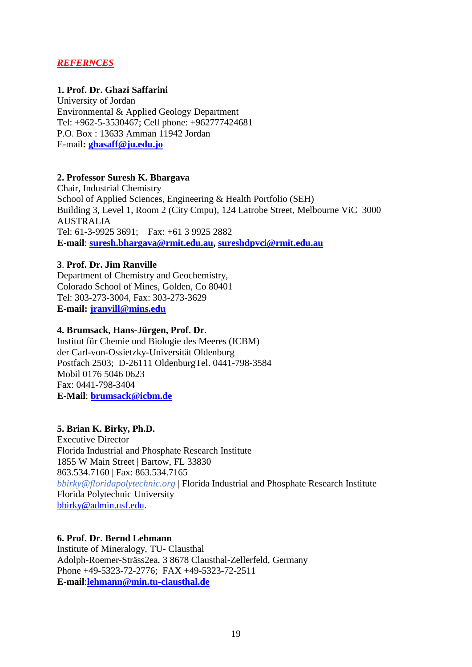# *REFERNCES*

### **1. Prof. Dr. Ghazi Saffarini**

University of Jordan Environmental & Applied Geology Department Tel: +962-5-3530467; Cell phone: +962777424681 P.O. Box : 13633 Amman 11942 Jordan E-mail**: [ghasaff@ju.edu.jo](mailto:ghasaff@ju.edu.jo)**

### **2. Professor Suresh K. Bhargava**

Chair, Industrial Chemistry School of Applied Sciences, Engineering & Health Portfolio (SEH) Building 3, Level 1, Room 2 (City Cmpu), 124 Latrobe Street, Melbourne ViC 3000 AUSTRALIA Tel: 61-3-9925 3691; Fax: +61 3 9925 2882 **E-mail**: **[suresh.bhargava@rmit.edu.au,](mailto:suresh.bhargava@rmit.edu.au) [sureshdpvci@rmit.edu.au](mailto:sureshdpvci@rmit.edu.au)**

### **3**. **Prof. Dr. Jim Ranville**

Department of Chemistry and Geochemistry, Colorado School of Mines, Golden, Co 80401 Tel: 303-273-3004, Fax: 303-273-3629 **E-mail: [jranvill@mins.edu](mailto:ghasaff@ju.edu.jo)**

### **4. Brumsack, Hans-Jürgen, Prof. Dr**.

Institut für Chemie und Biologie des Meeres (ICBM) der Carl-von-Ossietzky-Universität Oldenburg Postfach 2503; D-26111 OldenburgTel. 0441-798-3584 Mobil 0176 5046 0623 Fax: 0441-798-3404 **E-Mail**: **brumsack@icbm.de**

## **5. Brian K. Birky, Ph.D.**

Executive Director Florida Industrial and Phosphate Research Institute 1855 W Main Street | Bartow, FL 33830 863.534.7160 | Fax: 863.534.7165 *bbirky@floridapolytechnic.org* | Florida Industrial and Phosphate Research Institute Florida Polytechnic University [bbirky@admin.usf.edu.](mailto:bbirky@admin.usf.edu)

### **6. Prof. Dr. Bernd Lehmann**

Institute of Mineralogy, TU- Clausthal Adolph-Roemer-Sträss2ea, 3 8678 Clausthal-Zellerfeld, Germany Phone +49-5323-72-2776; FAX +49-5323-72-2511 **E-mail**:**[lehmann@min.tu-clausthal.de](mailto:lehmann@min.tu-clausthal.de)**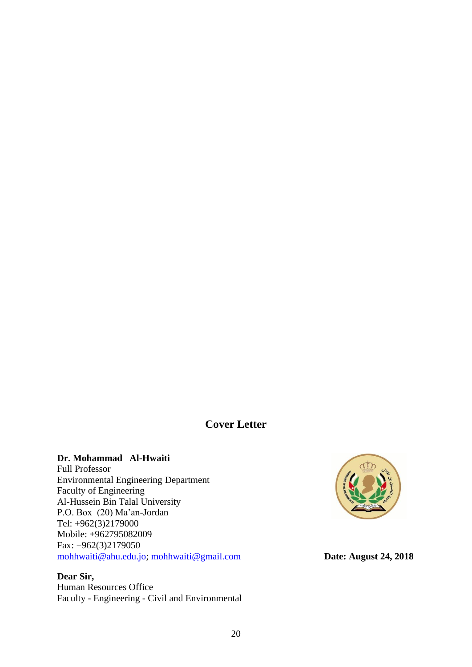# **Cover Letter**

## **Dr. Mohammad Al-Hwaiti**

Full Professor Environmental Engineering Department Faculty of Engineering Al-Hussein Bin Talal University P.O. Box (20) Ma'an-Jordan Tel: +962(3)2179000 Mobile: +962795082009 Fax: +962(3)2179050 [mohhwaiti@ahu.edu.jo;](mailto:mohhwaiti@ahu.edu.jo) [mohhwaiti@gmail.com](mailto:mohhwaiti@gmail.com) **Date: August 24, 2018** 

## **Dear Sir,**

Human Resources Office Faculty - Engineering - Civil and Environmental

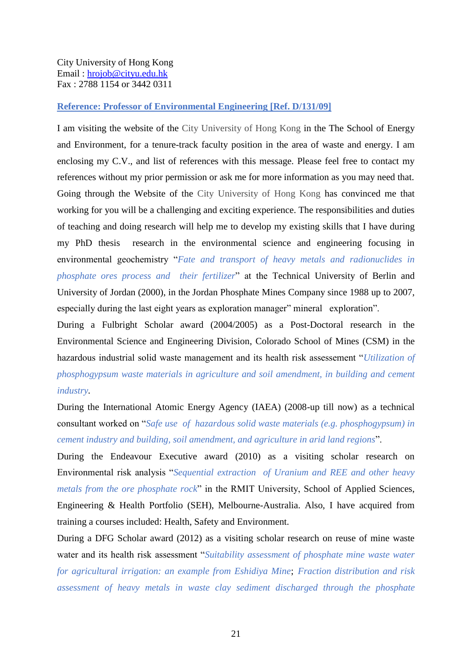### City University of Hong Kong Email : [hrojob@cityu.edu.hk](mailto:hrojob@cityu.edu.hk) Fax : 2788 1154 or 3442 0311

### **Reference: Professor of Environmental Engineering [Ref. D/131/09]**

I am visiting the website of the City University of Hong Kong in the The School of Energy and Environment, for a tenure-track faculty position in the area of waste and energy. I am enclosing my C.V., and list of references with this message. Please feel free to contact my references without my prior permission or ask me for more information as you may need that. Going through the Website of the City University of Hong Kong has convinced me that working for you will be a challenging and exciting experience. The responsibilities and duties of teaching and doing research will help me to develop my existing skills that I have during my PhD thesis research in the environmental science and engineering focusing in environmental geochemistry "*Fate and transport of heavy metals and radionuclides in phosphate ores process and their fertilizer*" at the Technical University of Berlin and University of Jordan (2000), in the Jordan Phosphate Mines Company since 1988 up to 2007, especially during the last eight years as exploration manager" mineral exploration".

During a Fulbright Scholar award (2004/2005) as a Post-Doctoral research in the Environmental Science and Engineering Division, Colorado School of Mines (CSM) in the hazardous industrial solid waste management and its health risk assessement "*Utilization of phosphogypsum waste materials in agriculture and soil amendment, in building and cement industry.*

During the International Atomic Energy Agency (IAEA) (2008-up till now) as a technical consultant worked on "*Safe use of hazardous solid waste materials (e.g. phosphogypsum) in cement industry and building, soil amendment, and agriculture in arid land regions*".

During the Endeavour Executive award (2010) as a visiting scholar research on Environmental risk analysis "*Sequential extraction of Uranium and REE and other heavy metals from the ore phosphate rock*" in the RMIT University, School of Applied Sciences, Engineering & Health Portfolio (SEH), Melbourne-Australia. Also, I have acquired from training a courses included: Health, Safety and Environment.

During a DFG Scholar award (2012) as a visiting scholar research on reuse of mine waste water and its health risk assessment "*Suitability assessment of phosphate mine waste water for agricultural irrigation: an example from Eshidiya Mine*; *Fraction distribution and risk assessment of heavy metals in waste clay sediment discharged through the phosphate*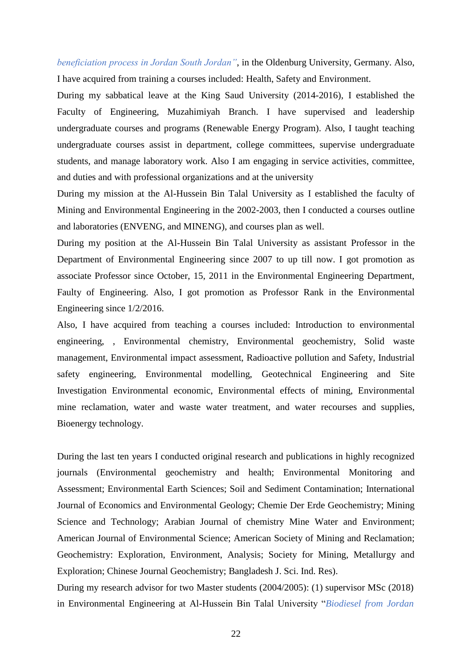*beneficiation process in Jordan South Jordan"*, in the Oldenburg University, Germany. Also, I have acquired from training a courses included: Health, Safety and Environment.

During my sabbatical leave at the King Saud University (2014-2016), I established the Faculty of Engineering, Muzahimiyah Branch. I have supervised and leadership undergraduate courses and programs (Renewable Energy Program). Also, I taught teaching undergraduate courses assist in department, college committees, supervise undergraduate students, and manage laboratory work. Also I am engaging in service activities, committee, and duties and with professional organizations and at the university

During my mission at the Al-Hussein Bin Talal University as I established the faculty of Mining and Environmental Engineering in the 2002-2003, then I conducted a courses outline and laboratories (ENVENG, and MINENG), and courses plan as well.

During my position at the Al-Hussein Bin Talal University as assistant Professor in the Department of Environmental Engineering since 2007 to up till now. I got promotion as associate Professor since October, 15, 2011 in the Environmental Engineering Department, Faulty of Engineering. Also, I got promotion as Professor Rank in the Environmental Engineering since 1/2/2016.

Also, I have acquired from teaching a courses included: Introduction to environmental engineering, , Environmental chemistry, Environmental geochemistry, Solid waste management, Environmental impact assessment, Radioactive pollution and Safety, Industrial safety engineering, Environmental modelling, Geotechnical Engineering and Site Investigation Environmental economic, Environmental effects of mining, Environmental mine reclamation, water and waste water treatment, and water recourses and supplies, Bioenergy technology.

During the last ten years I conducted original research and publications in highly recognized journals (Environmental geochemistry and health; Environmental Monitoring and Assessment; Environmental Earth Sciences; Soil and Sediment Contamination; International Journal of Economics and Environmental Geology; Chemie Der Erde Geochemistry; Mining Science and Technology; Arabian Journal of chemistry Mine Water and Environment; American Journal of Environmental Science; American Society of Mining and Reclamation; Geochemistry: Exploration, Environment, Analysis; Society for Mining, Metallurgy and Exploration; Chinese Journal Geochemistry; Bangladesh J. Sci. Ind. Res).

During my research advisor for two Master students (2004/2005): (1) supervisor MSc (2018) in Environmental Engineering at Al-Hussein Bin Talal University "*Biodiesel from Jordan*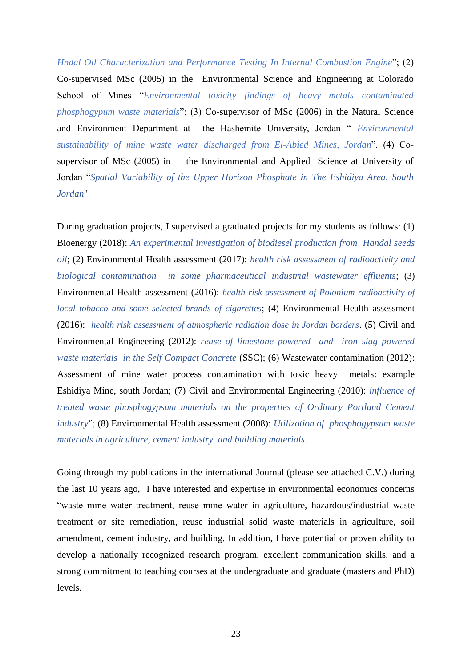*Hndal Oil Characterization and Performance Testing In Internal Combustion Engine*"; (2) Co-supervised MSc (2005) in the Environmental Science and Engineering at Colorado School of Mines "*Environmental toxicity findings of heavy metals contaminated phosphogypum waste materials*"; (3) Co-supervisor of MSc (2006) in the Natural Science and Environment Department at the Hashemite University, Jordan " *Environmental sustainability of mine waste water discharged from El-Abied Mines, Jordan*". (4) Cosupervisor of MSc (2005) in the Environmental and Applied Science at University of Jordan "*Spatial Variability of the Upper Horizon Phosphate in The Eshidiya Area, South Jordan*"

During graduation projects, I supervised a graduated projects for my students as follows: (1) Bioenergy (2018): *An experimental investigation of biodiesel production from Handal seeds oil*; (2) Environmental Health assessment (2017): *health risk assessment of radioactivity and biological contamination in some pharmaceutical industrial wastewater effluents*; (3) Environmental Health assessment (2016): *health risk assessment of Polonium radioactivity of local tobacco and some selected brands of cigarettes*; (4) Environmental Health assessment (2016): *health risk assessment of atmospheric radiation dose in Jordan borders*. (5) Civil and Environmental Engineering (2012): *reuse of limestone powered and iron slag powered waste materials in the Self Compact Concrete* (SSC); (6) Wastewater contamination (2012): Assessment of mine water process contamination with toxic heavy metals: example Eshidiya Mine, south Jordan; (7) Civil and Environmental Engineering (2010): *influence of treated waste phosphogypsum materials on the properties of Ordinary Portland Cement industry*"; (8) Environmental Health assessment (2008): *Utilization of phosphogypsum waste materials in agriculture, cement industry and building materials*.

Going through my publications in the international Journal (please see attached C.V.) during the last 10 years ago, I have interested and expertise in environmental economics concerns "waste mine water treatment, reuse mine water in agriculture, hazardous/industrial waste treatment or site remediation, reuse industrial solid waste materials in agriculture, soil amendment, cement industry, and building. In addition, I have potential or proven ability to develop a nationally recognized research program, excellent communication skills, and a strong commitment to teaching courses at the undergraduate and graduate (masters and PhD) levels.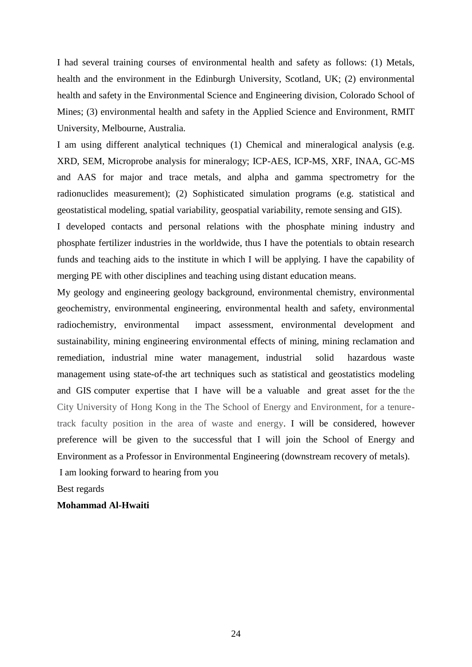I had several training courses of environmental health and safety as follows: (1) Metals, health and the environment in the Edinburgh University, Scotland, UK; (2) environmental health and safety in the Environmental Science and Engineering division, Colorado School of Mines; (3) environmental health and safety in the Applied Science and Environment, RMIT University, Melbourne, Australia.

I am using different analytical techniques (1) Chemical and mineralogical analysis (e.g. XRD, SEM, Microprobe analysis for mineralogy; ICP-AES, ICP-MS, XRF, INAA, GC-MS and AAS for major and trace metals, and alpha and gamma spectrometry for the radionuclides measurement); (2) Sophisticated simulation programs (e.g. statistical and geostatistical modeling, spatial variability, geospatial variability, remote sensing and GIS).

I developed contacts and personal relations with the phosphate mining industry and phosphate fertilizer industries in the worldwide, thus I have the potentials to obtain research funds and teaching aids to the institute in which I will be applying. I have the capability of merging PE with other disciplines and teaching using distant education means.

My geology and engineering geology background, environmental chemistry, environmental geochemistry, environmental engineering, environmental health and safety, environmental radiochemistry, environmental impact assessment, environmental development and sustainability, mining engineering environmental effects of mining, mining reclamation and remediation, industrial mine water management, industrial solid hazardous waste management using state-of-the art techniques such as statistical and geostatistics modeling and GIS computer expertise that I have will be a valuable and great asset for the the City University of Hong Kong in the The School of Energy and Environment, for a tenuretrack faculty position in the area of waste and energy. I will be considered, however preference will be given to the successful that I will join the School of Energy and Environment as a Professor in Environmental Engineering (downstream recovery of metals).

I am looking forward to hearing from you

Best regards

### **Mohammad Al-Hwaiti**

24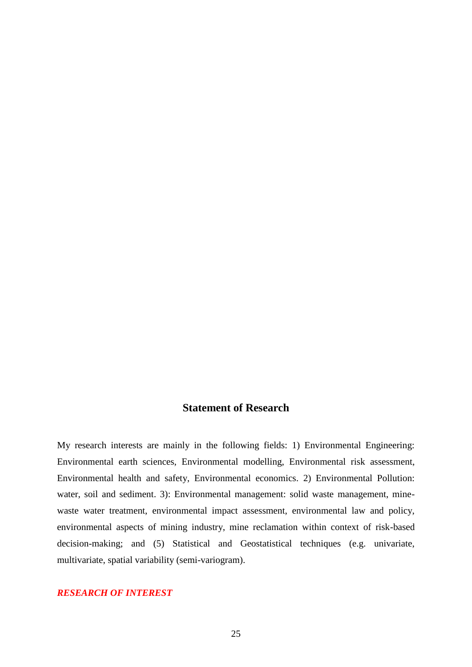# **Statement of Research**

My research interests are mainly in the following fields: 1) Environmental Engineering: Environmental earth sciences, Environmental modelling, Environmental risk assessment, Environmental health and safety, Environmental economics. 2) Environmental Pollution: water, soil and sediment. 3): Environmental management: solid waste management, minewaste water treatment, environmental impact assessment, environmental law and policy, environmental aspects of mining industry, mine reclamation within context of risk-based decision-making; and (5) Statistical and Geostatistical techniques (e.g. univariate, multivariate, spatial variability (semi-variogram).

### *RESEARCH OF INTEREST*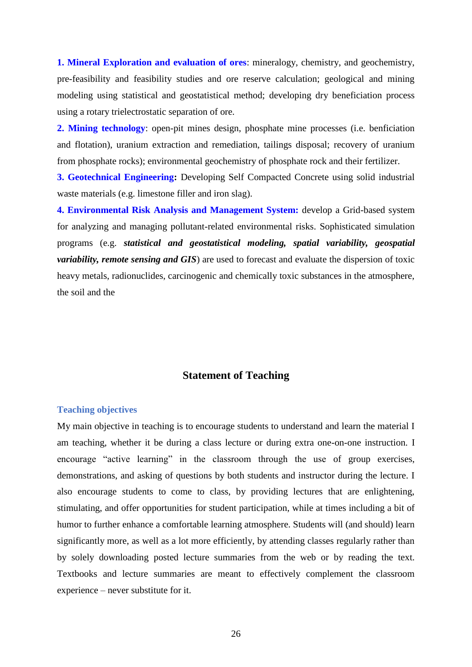**1. Mineral Exploration and evaluation of ores**: mineralogy, chemistry, and geochemistry, pre-feasibility and feasibility studies and ore reserve calculation; geological and mining modeling using statistical and geostatistical method; developing dry beneficiation process using a rotary trielectrostatic separation of ore.

**2. Mining technology**: open-pit mines design, phosphate mine processes (i.e. benficiation and flotation), uranium extraction and remediation, tailings disposal; recovery of uranium from phosphate rocks); environmental geochemistry of phosphate rock and their fertilizer.

**3. Geotechnical Engineering:** Developing Self Compacted Concrete using solid industrial waste materials (e.g. limestone filler and iron slag).

**4. Environmental Risk Analysis and Management System:** develop a Grid-based system for analyzing and managing pollutant-related environmental risks. Sophisticated simulation programs (e.g. *statistical and geostatistical modeling, spatial variability, geospatial variability, remote sensing and GIS*) are used to forecast and evaluate the dispersion of toxic heavy metals, radionuclides, carcinogenic and chemically toxic substances in the atmosphere, the soil and the

### **Statement of Teaching**

#### **Teaching objectives**

My main objective in teaching is to encourage students to understand and learn the material I am teaching, whether it be during a class lecture or during extra one-on-one instruction. I encourage "active learning" in the classroom through the use of group exercises, demonstrations, and asking of questions by both students and instructor during the lecture. I also encourage students to come to class, by providing lectures that are enlightening, stimulating, and offer opportunities for student participation, while at times including a bit of humor to further enhance a comfortable learning atmosphere. Students will (and should) learn significantly more, as well as a lot more efficiently, by attending classes regularly rather than by solely downloading posted lecture summaries from the web or by reading the text. Textbooks and lecture summaries are meant to effectively complement the classroom experience – never substitute for it.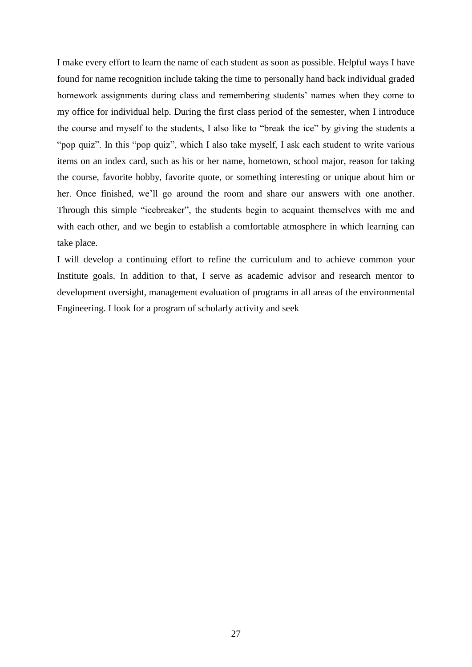I make every effort to learn the name of each student as soon as possible. Helpful ways I have found for name recognition include taking the time to personally hand back individual graded homework assignments during class and remembering students' names when they come to my office for individual help. During the first class period of the semester, when I introduce the course and myself to the students, I also like to "break the ice" by giving the students a "pop quiz". In this "pop quiz", which I also take myself, I ask each student to write various items on an index card, such as his or her name, hometown, school major, reason for taking the course, favorite hobby, favorite quote, or something interesting or unique about him or her. Once finished, we'll go around the room and share our answers with one another. Through this simple "icebreaker", the students begin to acquaint themselves with me and with each other, and we begin to establish a comfortable atmosphere in which learning can take place.

I will develop a continuing effort to refine the curriculum and to achieve common your Institute goals. In addition to that, I serve as academic advisor and research mentor to development oversight, management evaluation of programs in all areas of the environmental Engineering. I look for a program of scholarly activity and seek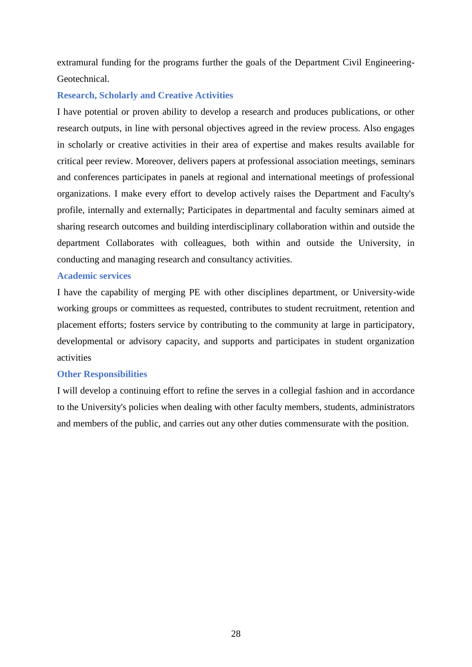extramural funding for the programs further the goals of the Department Civil Engineering-Geotechnical.

### **Research, Scholarly and Creative Activities**

I have potential or proven ability to develop a research and produces publications, or other research outputs, in line with personal objectives agreed in the review process. Also engages in scholarly or creative activities in their area of expertise and makes results available for critical peer review. Moreover, delivers papers at professional association meetings, seminars and conferences participates in panels at regional and international meetings of professional organizations. I make every effort to develop actively raises the Department and Faculty's profile, internally and externally; Participates in departmental and faculty seminars aimed at sharing research outcomes and building interdisciplinary collaboration within and outside the department Collaborates with colleagues, both within and outside the University, in conducting and managing research and consultancy activities.

### **Academic services**

I have the capability of merging PE with other disciplines department, or University-wide working groups or committees as requested, contributes to student recruitment, retention and placement efforts; fosters service by contributing to the community at large in participatory, developmental or advisory capacity, and supports and participates in student organization activities

### **Other Responsibilities**

I will develop a continuing effort to refine the serves in a collegial fashion and in accordance to the University's policies when dealing with other faculty members, students, administrators and members of the public, and carries out any other duties commensurate with the position.